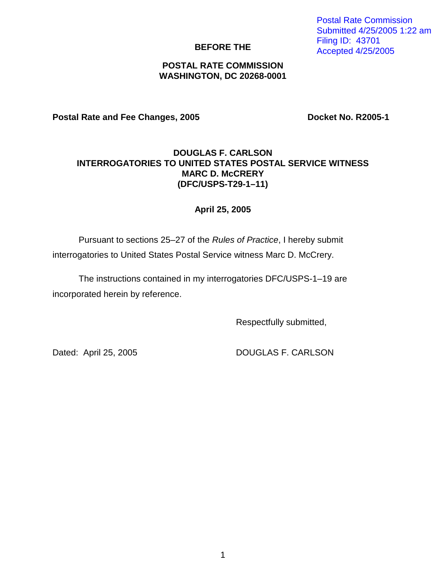1

## **BEFORE THE**

## **POSTAL RATE COMMISSION WASHINGTON, DC 20268-0001**

Postal Rate and Fee Changes, 2005 **Docket No. R2005-1** 

## **DOUGLAS F. CARLSON INTERROGATORIES TO UNITED STATES POSTAL SERVICE WITNESS MARC D. McCRERY (DFC/USPS-T29-1–11)**

## **April 25, 2005**

Pursuant to sections 25–27 of the Rules of Practice, I hereby submit interrogatories to United States Postal Service witness Marc D. McCrery.

The instructions contained in my interrogatories DFC/USPS-1–19 are incorporated herein by reference.

Respectfully submitted,

Dated: April 25, 2005 DOUGLAS F. CARLSON

Postal Rate Commission Submitted 4/25/2005 1:22 am Filing ID: 43701 Accepted 4/25/2005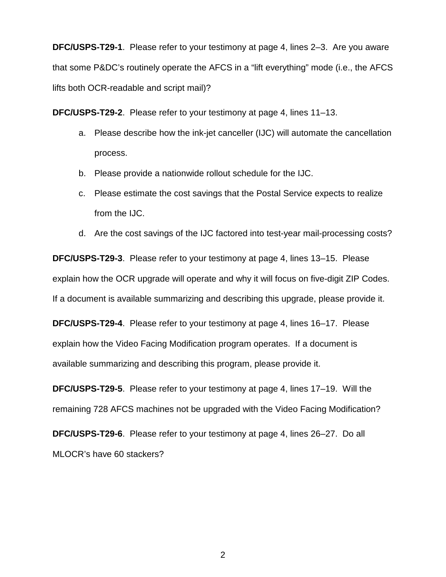**DFC/USPS-T29-1**. Please refer to your testimony at page 4, lines 2–3. Are you aware that some P&DC's routinely operate the AFCS in a "lift everything" mode (i.e., the AFCS lifts both OCR-readable and script mail)?

**DFC/USPS-T29-2**. Please refer to your testimony at page 4, lines 11–13.

- a. Please describe how the ink-jet canceller (IJC) will automate the cancellation process.
- b. Please provide a nationwide rollout schedule for the IJC.
- c. Please estimate the cost savings that the Postal Service expects to realize from the IJC.
- d. Are the cost savings of the IJC factored into test-year mail-processing costs?

**DFC/USPS-T29-3**. Please refer to your testimony at page 4, lines 13–15. Please explain how the OCR upgrade will operate and why it will focus on five-digit ZIP Codes. If a document is available summarizing and describing this upgrade, please provide it.

**DFC/USPS-T29-4**. Please refer to your testimony at page 4, lines 16–17. Please explain how the Video Facing Modification program operates. If a document is available summarizing and describing this program, please provide it.

**DFC/USPS-T29-5**. Please refer to your testimony at page 4, lines 17–19. Will the remaining 728 AFCS machines not be upgraded with the Video Facing Modification?

**DFC/USPS-T29-6**. Please refer to your testimony at page 4, lines 26–27. Do all MLOCR's have 60 stackers?